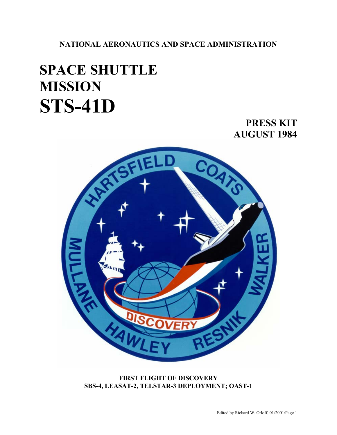**NATIONAL AERONAUTICS AND SPACE ADMINISTRATION** 

## **SPACE SHUTTLE MISSION STS-41D**

## **PRESS KIT AUGUST 1984**



**FIRST FLIGHT OF DISCOVERY SBS-4, LEASAT-2, TELSTAR-3 DEPLOYMENT; OAST-1**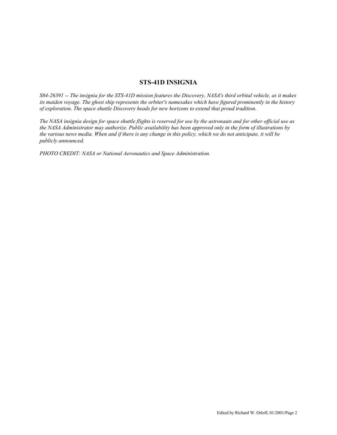## **STS-41D INSIGNIA**

*S84-26391 -- The insignia for the STS-41D mission features the Discovery, NASA's third orbital vehicle, as it makes its maiden voyage. The ghost ship represents the orbiter's namesakes which have figured prominently in the history of exploration. The space shuttle Discovery heads for new horizons to extend that proud tradition.* 

*The NASA insignia design for space shuttle flights is reserved for use by the astronauts and for other official use as the NASA Administrator may authorize. Public availability has been approved only in the form of illustrations by the various news media. When and if there is any change in this policy, which we do not anticipate, it will be publicly announced.* 

*PHOTO CREDIT: NASA or National Aeronautics and Space Administration.*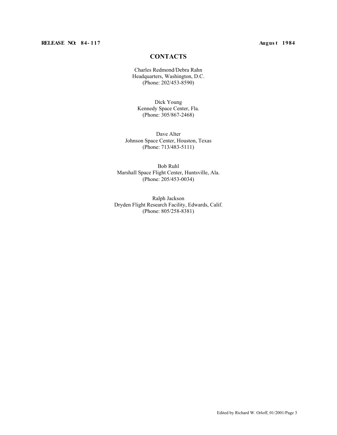## **RELEASE NO: 84- 117 Augus t 1984**

## **CONTACTS**

Charles Redmond/Debra Rahn Headquarters, Washington, D.C. (Phone: 202/453-8590)

Dick Young Kennedy Space Center, Fla. (Phone: 305/867-2468)

Dave Alter Johnson Space Center, Houston, Texas (Phone: 713/483-5111)

Bob Ruhl Marshall Space Flight Center, Huntsville, Ala. (Phone: 205/453-0034)

Ralph Jackson Dryden Flight Research Facility, Edwards, Calif. (Phone: 805/258-8381)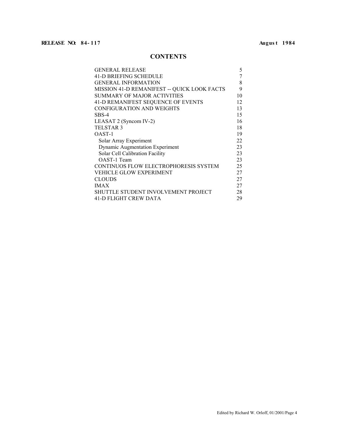## **CONTENTS**

| <b>GENERAL RELEASE</b>                      | 5  |
|---------------------------------------------|----|
| <b>41-D BRIEFING SCHEDULE</b>               | 7  |
| <b>GENERAL INFORMATION</b>                  | 8  |
| MISSION 41-D REMANIFEST -- QUICK LOOK FACTS | 9  |
| SUMMARY OF MAJOR ACTIVITIES                 | 10 |
| 41-D REMANIFEST SEQUENCE OF EVENTS          | 12 |
| CONFIGURATION AND WEIGHTS                   | 13 |
| SBS-4                                       | 15 |
| LEASAT 2 (Syncom IV-2)                      | 16 |
| TELSTAR 3                                   | 18 |
| OAST-1                                      | 19 |
| Solar Array Experiment                      | 22 |
| <b>Dynamic Augmentation Experiment</b>      | 23 |
| Solar Cell Calibration Facility             | 23 |
| OAST-1 Team                                 | 23 |
| CONTINUOS FLOW ELECTROPHORESIS SYSTEM       | 25 |
| VEHICLE GLOW EXPERIMENT                     | 27 |
| CLOUDS                                      | 27 |
| <b>IMAX</b>                                 | 27 |
| SHUTTLE STUDENT INVOLVEMENT PROJECT         | 28 |
| 41-D FLIGHT CREW DATA                       | 29 |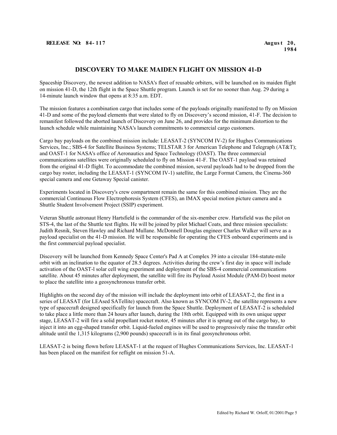## **DISCOVERY TO MAKE MAIDEN FLIGHT ON MISSION 41-D**

Spaceship Discovery, the newest addition to NASA's fleet of reusable orbiters, will be launched on its maiden flight on mission 41-D, the 12th flight in the Space Shuttle program. Launch is set for no sooner than Aug. 29 during a 14-minute launch window that opens at 8:35 a.m. EDT.

The mission features a combination cargo that includes some of the payloads originally manifested to fly on Mission 41-D and some of the payload elements that were slated to fly on Discovery's second mission, 41-F. The decision to remanifest followed the aborted launch of Discovery on June 26, and provides for the minimum distortion to the launch schedule while maintaining NASA's launch commitments to commercial cargo customers.

Cargo bay payloads on the combined mission include: LEASAT-2 (SYNCOM IV-2) for Hughes Communications Services, Inc.; SBS-4 for Satellite Business Systems; TELSTAR 3 for American Telephone and Telegraph (AT&T); and OAST-1 for NASA's office of Aeronautics and Space Technology (OAST). The three commercial communications satellites were originally scheduled to fly on Mission 41-F. The OAST-1 payload was retained from the original 41-D flight. To accommodate the combined mission, several payloads had to be dropped from the cargo bay roster, including the LEASAT-1 (SYNCOM IV-1) satellite, the Large Format Camera, the Cinema-360 special camera and one Getaway Special canister.

Experiments located in Discovery's crew compartment remain the same for this combined mission. They are the commercial Continuous Flow Electrophoresis System (CFES), an IMAX special motion picture camera and a Shuttle Student Involvement Project (SSIP) experiment.

Veteran Shuttle astronaut Henry Hartsfield is the commander of the six-member crew. Hartsfield was the pilot on STS-4, the last of the Shuttle test flights. He will be joined by pilot Michael Coats, and three mission specialists: Judith Resnik, Steven Hawley and Richard Mullane. McDonnell Douglas engineer Charles Walker will serve as a payload specialist on the 41-D mission. He will be responsible for operating the CFES onboard experiments and is the first commercial payload specialist.

Discovery will be launched from Kennedy Space Center's Pad A at Complex 39 into a circular 184-statute-mile orbit with an inclination to the equator of 28.5 degrees. Activities during the crew's first day in space will include activation of the OAST-l solar cell wing experiment and deployment of the SBS-4 commercial communications satellite. About 45 minutes after deployment, the satellite will fire its Payload Assist Module (PAM-D) boost motor to place the satellite into a geosynchronous transfer orbit.

Highlights on the second day of the mission will include the deployment into orbit of LEASAT-2, the first in a series of LEASAT (for LEAsed SATellite) spacecraft. Also known as SYNCOM IV-2, the satellite represents a new type of spacecraft designed specifically for launch from the Space Shuttle. Deployment of LEASAT-2 is scheduled to take place a little more than 24 hours after launch, during the 18th orbit. Equipped with its own unique upper stage, LEASAT-2 will fire a solid propellant rocket motor, 45 minutes after it is sprung out of the cargo bay, to inject it into an egg-shaped transfer orbit. Liquid-fueled engines will be used to progressively raise the transfer orbit altitude until the 1,315 kilograms (2,900 pounds) spacecraft is in its final geosynchronous orbit.

LEASAT-2 is being flown before LEASAT-1 at the request of Hughes Communications Services, Inc. LEASAT-1 has been placed on the manifest for reflight on mission 51-A.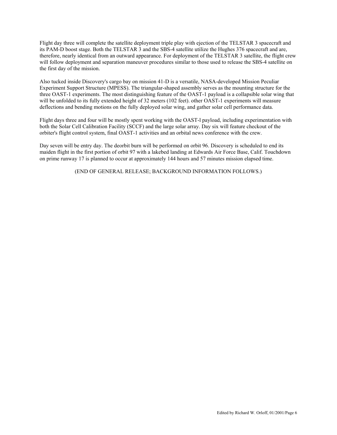Flight day three will complete the satellite deployment triple play with ejection of the TELSTAR 3 spacecraft and its PAM-D boost stage. Both the TELSTAR 3 and the SBS-4 satellite utilize the Hughes 376 spacecraft and are, therefore, nearly identical from an outward appearance. For deployment of the TELSTAR 3 satellite, the flight crew will follow deployment and separation maneuver procedures similar to those used to release the SBS-4 satellite on the first day of the mission.

Also tucked inside Discovery's cargo bay on mission 41-D is a versatile, NASA-developed Mission Peculiar Experiment Support Structure (MPESS). The triangular-shaped assembly serves as the mounting structure for the three OAST-1 experiments. The most distinguishing feature of the OAST-1 payload is a collapsible solar wing that will be unfolded to its fully extended height of 32 meters (102 feet). other OAST-1 experiments will measure deflections and bending motions on the fully deployed solar wing, and gather solar cell performance data.

Flight days three and four will be mostly spent working with the OAST-l payload, including experimentation with both the Solar Cell Calibration Facility (SCCF) and the large solar array. Day six will feature checkout of the orbiter's flight control system, final OAST-1 activities and an orbital news conference with the crew.

Day seven will be entry day. The deorbit burn will be performed on orbit 96. Discovery is scheduled to end its maiden flight in the first portion of orbit 97 with a lakebed landing at Edwards Air Force Base, Calif. Touchdown on prime runway 17 is planned to occur at approximately 144 hours and 57 minutes mission elapsed time.

(END OF GENERAL RELEASE; BACKGROUND INFORMATION FOLLOWS.)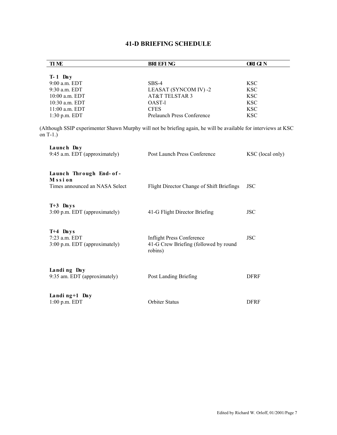## **41-D BRIEFING SCHEDULE**

| <b>TIME</b>                                                                                                                    | <b>BRI EFI NG</b>                                                                    | ORI GI N         |
|--------------------------------------------------------------------------------------------------------------------------------|--------------------------------------------------------------------------------------|------------------|
|                                                                                                                                |                                                                                      |                  |
| $T-1$ Day                                                                                                                      |                                                                                      |                  |
| 9:00 a.m. EDT                                                                                                                  | $SBS-4$                                                                              | <b>KSC</b>       |
| 9:30 a.m. EDT                                                                                                                  | LEASAT (SYNCOM IV) -2                                                                | <b>KSC</b>       |
| 10:00 a.m. EDT                                                                                                                 | AT&T TELSTAR 3                                                                       | <b>KSC</b>       |
| 10:30 a.m. EDT                                                                                                                 | OAST-1                                                                               | <b>KSC</b>       |
| 11:00 a.m. EDT                                                                                                                 | <b>CFES</b>                                                                          | <b>KSC</b>       |
| 1:30 p.m. EDT                                                                                                                  | Prelaunch Press Conference                                                           | <b>KSC</b>       |
| (Although SSIP experimenter Shawn Murphy will not be briefing again, he will be available for interviews at KSC<br>on $T-1$ .) |                                                                                      |                  |
| Launch Day<br>9:45 a.m. EDT (approximately)                                                                                    | Post Launch Press Conference                                                         | KSC (local only) |
| Launch Through End- of-<br>Mssion<br>Times announced an NASA Select                                                            | Flight Director Change of Shift Briefings                                            | <b>JSC</b>       |
| $T+3$ Days<br>3:00 p.m. EDT (approximately)                                                                                    | 41-G Flight Director Briefing                                                        | <b>JSC</b>       |
| $T+4$ Days<br>7:23 a.m. EDT<br>3:00 p.m. EDT (approximately)                                                                   | <b>Inflight Press Conference</b><br>41-G Crew Briefing (followed by round<br>robins) | <b>JSC</b>       |
| Landing Day<br>9:35 am. EDT (approximately)                                                                                    | Post Landing Briefing                                                                | <b>DFRF</b>      |
| Landing+1 Day<br>1:00 p.m. EDT                                                                                                 | <b>Orbiter Status</b>                                                                | <b>DFRF</b>      |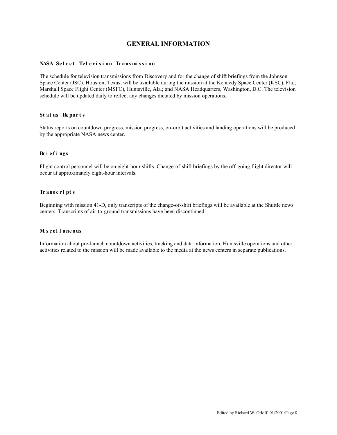## **GENERAL INFORMATION**

## NASA Select Television Transmission

The schedule for television transmissions from Discovery and for the change of shift briefings from the Johnson Space Center (JSC), Houston, Texas, will be available during the mission at the Kennedy Space Center (KSC), Fla.; Marshall Space Flight Center (MSFC), Huntsville, Ala.; and NASA Headquarters, Washington, D.C. The television schedule will be updated daily to reflect any changes dictated by mission operations.

### **St at us Re por t s**

Status reports on countdown progress, mission progress, on-orbit activities and landing operations will be produced by the appropriate NASA news center.

## **Br i e f i ngs**

Flight control personnel will be on eight-hour shifts. Change-of-shift briefings by the off-going flight director will occur at approximately eight-hour intervals.

## **Tr ans c r i pt s**

Beginning with mission 41-D, only transcripts of the change-of-shift briefings will be available at the Shuttle news centers. Transcripts of air-to-ground transmissions have been discontinued.

#### **Mi s cel l aneous**

Information about pre-launch countdown activities, tracking and data information, Huntsville operations and other activities related to the mission will be made available to the media at the news centers in separate publications.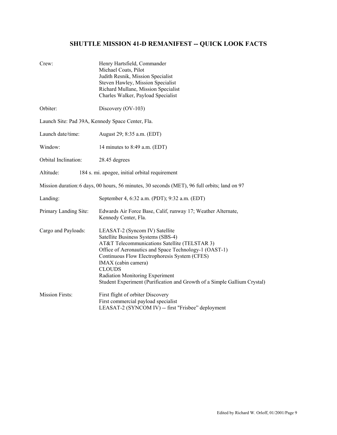## **SHUTTLE MISSION 41-D REMANIFEST -- QUICK LOOK FACTS**

| Crew:                                            | Henry Hartsfield, Commander<br>Michael Coats, Pilot<br>Judith Resnik, Mission Specialist<br>Steven Hawley, Mission Specialist<br>Richard Mullane, Mission Specialist<br>Charles Walker, Payload Specialist                                                                                                                                                                             |  |  |  |
|--------------------------------------------------|----------------------------------------------------------------------------------------------------------------------------------------------------------------------------------------------------------------------------------------------------------------------------------------------------------------------------------------------------------------------------------------|--|--|--|
| Orbiter:                                         | Discovery (OV-103)                                                                                                                                                                                                                                                                                                                                                                     |  |  |  |
| Launch Site: Pad 39A, Kennedy Space Center, Fla. |                                                                                                                                                                                                                                                                                                                                                                                        |  |  |  |
| Launch date/time:                                | August 29; 8:35 a.m. (EDT)                                                                                                                                                                                                                                                                                                                                                             |  |  |  |
| Window:                                          | 14 minutes to 8:49 a.m. (EDT)                                                                                                                                                                                                                                                                                                                                                          |  |  |  |
| Orbital Inclination:                             | 28.45 degrees                                                                                                                                                                                                                                                                                                                                                                          |  |  |  |
| Altitude:                                        | 184 s. mi. apogee, initial orbital requirement                                                                                                                                                                                                                                                                                                                                         |  |  |  |
|                                                  | Mission duration: 6 days, 00 hours, 56 minutes, 30 seconds (MET), 96 full orbits; land on 97                                                                                                                                                                                                                                                                                           |  |  |  |
| Landing:                                         | September 4, 6:32 a.m. (PDT); 9:32 a.m. (EDT)                                                                                                                                                                                                                                                                                                                                          |  |  |  |
| Primary Landing Site:                            | Edwards Air Force Base, Calif, runway 17; Weather Alternate,<br>Kennedy Center, Fla.                                                                                                                                                                                                                                                                                                   |  |  |  |
| Cargo and Payloads:                              | LEASAT-2 (Syncom IV) Satellite<br>Satellite Business Systems (SBS-4)<br>AT&T Telecommunications Satellite (TELSTAR 3)<br>Office of Aeronautics and Space Technology-1 (OAST-1)<br>Continuous Flow Electrophoresis System (CFES)<br>IMAX (cabin camera)<br><b>CLOUDS</b><br>Radiation Monitoring Experiment<br>Student Experiment (Purification and Growth of a Simple Gallium Crystal) |  |  |  |
| <b>Mission Firsts:</b>                           | First flight of orbiter Discovery<br>First commercial payload specialist<br>LEASAT-2 (SYNCOM IV) -- first "Frisbee" deployment                                                                                                                                                                                                                                                         |  |  |  |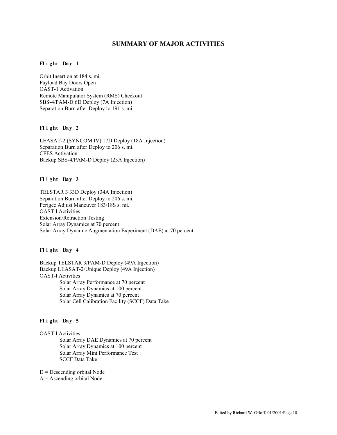## **SUMMARY OF MAJOR ACTIVITIES**

## **Fl i ght Day 1**

Orbit Insertion at 184 s. mi. Payload Bay Doors Open OAST-1 Activation Remote Manipulator System (RMS) Checkout SBS-4/PAM-D 6D Deploy (7A Injection) Separation Burn after Deploy to 191 s. mi.

## **Fl i ght Day 2**

LEASAT-2 (SYNCOM IV) 17D Deploy (18A Injection) Separation Burn after Deploy to 206 s. mi. CFES Activation Backup SBS-4/PAM-D Deploy (23A Injection)

## **Fl i ght Day 3**

TELSTAR 3 33D Deploy (34A Injection) Separation Burn after Deploy to 206 s. mi. Perigee Adjust Maneuver 183/18S s. mi. OAST-l Activities Extension/Retraction Testing Solar Array Dynamics at 70 percent Solar Array Dynamic Augmentation Experiment (DAE) at 70 percent

## **Fl i ght Day 4**

Backup TELSTAR 3/PAM-D Deploy (49A Injection) Backup LEASAT-2/Unique Deploy (49A Injection) OAST-l Activities Solar Array Performance at 70 percent Solar Array Dynamics at 100 percent Solar Array Dynamics at 70 percent Solar Cell Calibration Facility (SCCF) Data Take

#### **Fl i ght Day 5**

OAST-l Activities Solar Array DAE Dynamics at 70 percent Solar Array Dynamics at 100 percent Solar Array Mini Performance Test SCCF Data Take

 $D =$  Descending orbital Node

 $A =$  Ascending orbital Node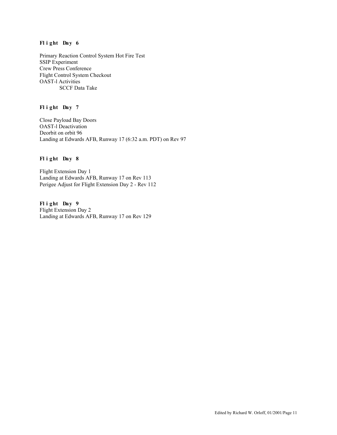## **Fl i ght Day 6**

Primary Reaction Control System Hot Fire Test SSIP Experiment Crew Press Conference Flight Control System Checkout OAST-l Activities SCCF Data Take

## **Fl i ght Day 7**

Close Payload Bay Doors OAST-l Deactivation Deorbit on orbit 96 Landing at Edwards AFB, Runway 17 (6:32 a.m. PDT) on Rev 97

## **Fl i ght Day 8**

Flight Extension Day 1 Landing at Edwards AFB, Runway 17 on Rev 113 Perigee Adjust for Flight Extension Day 2 - Rev 112

**Fl i ght Day 9**  Flight Extension Day 2 Landing at Edwards AFB, Runway 17 on Rev 129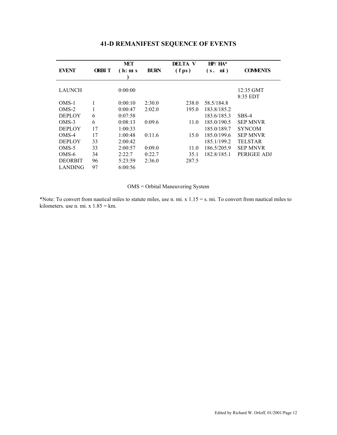|                |              | <b>MET</b> |             | DELTA V         | $HP/HA^*$             |                 |
|----------------|--------------|------------|-------------|-----------------|-----------------------|-----------------|
| <b>EVENT</b>   | <b>ORBIT</b> | (h: m s)   | <b>BURN</b> | $(f \text{ps})$ | $\mathbf{m}$ )<br>(s. | <b>COMMENTS</b> |
| <b>LAUNCH</b>  |              | 0:00:00    |             |                 |                       | $12:35$ GMT     |
|                |              |            |             |                 |                       | $8:35$ EDT      |
| $OMS-1$        | 1            | 0:00:10    | 2:30.0      | 238.0           | 58.5/184.8            |                 |
| $OMS-2$        | 1            | 0:00:47    | 2:02.0      | 195.0           | 183.8/185.2           |                 |
| <b>DEPLOY</b>  | 6            | 0:07:58    |             |                 | 183.6/185.3           | SBS-4           |
| $OMS-3$        | 6            | 0:08:13    | 0:09.6      | 11.0            | 185.0/190.5           | <b>SEP MNVR</b> |
| <b>DEPLOY</b>  | 17           | 1:00:33    |             |                 | 185.0/189.7           | <b>SYNCOM</b>   |
| $OMS-4$        | 17           | 1:00:48    | 0:11.6      | 15.0            | 185.0/199.6           | <b>SEP MNVR</b> |
| <b>DEPLOY</b>  | 33           | 2:00:42    |             |                 | 185.1/199.2           | <b>TELSTAR</b>  |
| OMS-5          | 33           | 2:00:57    | 0:09.0      | 11.0            | 186.5/205.9           | <b>SEP MNVR</b> |
| $OMS-6$        | 34           | 2:22:7     | 0:22.7      | 35.1            | 182.8/185.1           | PERIGEE ADJ     |
| <b>DEORBIT</b> | 96           | 5:23:59    | 2:36.0      | 287.5           |                       |                 |
| <b>LANDING</b> | 97           | 6:00:56    |             |                 |                       |                 |

## **41-D REMANIFEST SEQUENCE OF EVENTS**

## OMS = Orbital Maneuvering System

\*Note: To convert from nautical miles to statute miles, use n. mi. x  $1.15 = s$ . mi. To convert from nautical miles to kilometers. use n. mi. x  $1.85 = km$ .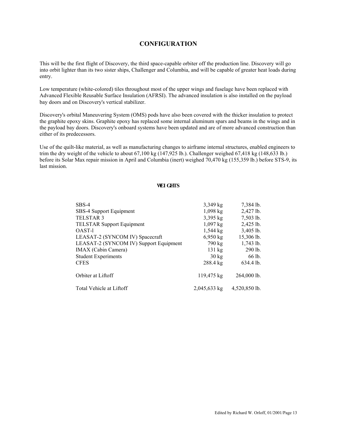## **CONFIGURATION**

This will be the first flight of Discovery, the third space-capable orbiter off the production line. Discovery will go into orbit lighter than its two sister ships, Challenger and Columbia, and will be capable of greater heat loads during entry.

Low temperature (white-colored) tiles throughout most of the upper wings and fuselage have been replaced with Advanced Flexible Reusable Surface Insulation (AFRSI). The advanced insulation is also installed on the payload bay doors and on Discovery's vertical stabilizer.

Discovery's orbital Maneuvering System (OMS) pods have also been covered with the thicker insulation to protect the graphite epoxy skins. Graphite epoxy has replaced some internal aluminum spars and beams in the wings and in the payload bay doors. Discovery's onboard systems have been updated and are of more advanced construction than either of its predecessors.

Use of the quilt-like material, as well as manufacturing changes to airframe internal structures, enabled engineers to trim the dry weight of the vehicle to about 67,100 kg (147,925 lb.). Challenger weighed 67,418 kg (148,633 lb.) before its Solar Max repair mission in April and Columbia (inert) weighed 70,470 kg (155,359 lb.) before STS-9, its last mission.

#### **WEI GHTS**

| $SBS-4$                                | $3,349$ kg         | 7,384 lb.     |
|----------------------------------------|--------------------|---------------|
| SBS-4 Support Equipment                | $1,098$ kg         | 2,427 lb.     |
| TELSTAR <sub>3</sub>                   | $3,395$ kg         | $7,503$ lb.   |
| <b>TELSTAR Support Equipment</b>       | $1,097$ kg         | 2,425 lb.     |
| OAST-1                                 | $1,544$ kg         | 3,405 lb.     |
| LEASAT-2 (SYNCOM IV) Spacecraft        | $6,950 \text{ kg}$ | 15,306 lb.    |
| LEASAT-2 (SYNCOM IV) Support Equipment | 790 kg             | $1,743$ lb.   |
| IMAX (Cabin Camera)                    | 131 kg             | $290$ lb.     |
| <b>Student Experiments</b>             | $30 \text{ kg}$    | 66 lb.        |
| <b>CFES</b>                            | 288.4 kg           | 634.4 lb.     |
| Orbiter at Liftoff                     | 119,475 kg         | 264,000 lb.   |
| Total Vehicle at Liftoff               | 2,045,633 kg       | 4,520,850 lb. |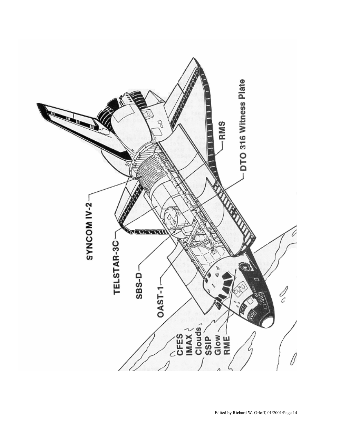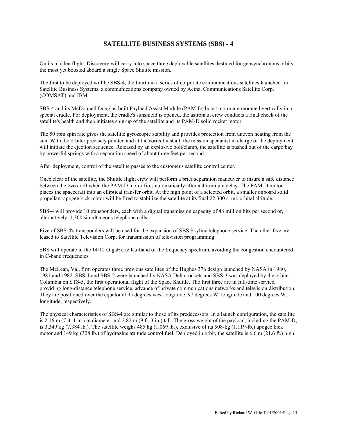## **SATELLITE BUSINESS SYSTEMS (SBS) - 4**

On its maiden flight, Discovery will carry into space three deployable satellites destined for geosynchronous orbits, the most yet boosted aboard a single Space Shuttle mission.

The first to be deployed will be SBS-4, the fourth in a series of corporate communications satellites launched for Satellite Business Systems, a communications company owned by Aetna, Communications Satellite Corp. (COMSAT) and IBM.

SBS-4 and its McDonnell Douglas-built Payload Assist Module (PAM-D) boost motor are mounted vertically in a special cradle. For deployment, the cradle's sunshield is opened, the astronaut crew conducts a final check of the satellite's health and then initiates spin-up of the satellite and its PAM-D solid rocket motor.

The 50 rpm spin rate gives the satellite gyroscopic stability and provides protection from uneven heating from the sun. With the orbiter precisely pointed and at the correct instant, the mission specialist in charge of the deployment will initiate the ejection sequence. Released by an explosive bolt/clamp, the satellite is pushed out of the cargo bay by powerful springs with a separation speed of about three feet per second.

After deployment, control of the satellite passes to the customer's satellite control center.

Once clear of the satellite, the Shuttle flight crew will perform a brief separation maneuver to insure a safe distance between the two craft when the PAM-D motor fires automatically after a 45-minute delay. The PAM-D motor places the spacecraft into an elliptical transfer orbit. At the high point of a selected orbit, a smaller onboard solid propellant apogee kick motor will be fired to stabilize the satellite at its final 22,300 s. mi. orbital altitude.

SBS-4 will provide 10 transponders, each with a digital transmission capacity of 48 million bits per second or, alternatively, 1,300 simultaneous telephone calls.

Five of SBS-4's transponders will be used for the expansion of SBS Skyline telephone service. The other five are leased to Satellite Television Corp. for transmission of television programming.

SBS will operate in the 14/12 GigaHertz Ku-band of the frequency spectrum, avoiding the congestion encountered in C-band frequencies.

The McLean, Va., firm operates three previous satellites of the Hughes 376 design launched by NASA in 1980, 1981 and 1982. SBS-1 and SBS-2 were launched by NASA Delta rockets and SBS-3 was deployed by the orbiter Columbia on STS-5, the first operational flight of the Space Shuttle. The first three are in full-time service, providing long-distance telephone service, advance of private communications networks and television distribution. They are positioned over the equator at 95 degrees west longitude, 97 degrees W. longitude and 100 degrees W. longitude, respectively.

The physical characteristics of SBS-4 are similar to those of its predecessors. In a launch configuration, the satellite is 2.16 m (7 it. 1 in.) in diameter and 2.82 m (9 ft. 3 in.) tall. The gross weight of the payload, including the PAM-D, is 3,349 kg (7,384 lb.). The satellite weighs 485 kg (1,069 lb.), exclusive of its 508-kg (1,119-lb.) apogee kick motor and 149 kg (328 lb.) of hydrazine attitude control fuel. Deployed in orbit, the satellite is 6.6 m (21.6 ft.) high.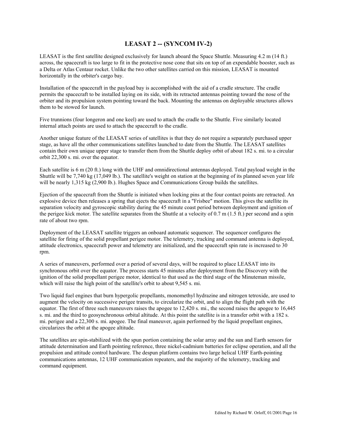## **LEASAT 2 -- (SYNCOM IV-2)**

LEASAT is the first satellite designed exclusively for launch aboard the Space Shuttle. Measuring 4.2 m (14 ft.) across, the spacecraft is too large to fit in the protective nose cone that sits on top of an expendable booster, such as a Delta or Atlas Centaur rocket. Unlike the two other satellites carried on this mission, LEASAT is mounted horizontally in the orbiter's cargo bay.

Installation of the spacecraft in the payload bay is accomplished with the aid of a cradle structure. The cradle permits the spacecraft to be installed laying on its side, with its retracted antennas pointing toward the nose of the orbiter and its propulsion system pointing toward the back. Mounting the antennas on deployable structures allows them to be stowed for launch.

Five trunnions (four longeron and one keel) are used to attach the cradle to the Shuttle. Five similarly located internal attach points are used to attach the spacecraft to the cradle.

Another unique feature of the LEASAT series of satellites is that they do not require a separately purchased upper stage, as have all the other communications satellites launched to date from the Shuttle. The LEASAT satellites contain their own unique upper stage to transfer them from the Shuttle deploy orbit of about 182 s. mi. to a circular orbit 22,300 s. mi. over the equator.

Each satellite is 6 m (20 ft.) long with the UHF and omnidirectional antennas deployed. Total payload weight in the Shuttle will be 7,740 kg (17,049 lb.). The satellite's weight on station at the beginning of its planned seven year life will be nearly 1,315 kg (2,900 lb.). Hughes Space and Communications Group builds the satellites.

Ejection of the spacecraft from the Shuttle is initiated when locking pins at the four contact points are retracted. An explosive device then releases a spring that ejects the spacecraft in a "Frisbee" motion. This gives the satellite its separation velocity and gyroscopic stability during the 45 minute coast period between deployment and ignition of the perigee kick motor. The satellite separates from the Shuttle at a velocity of 0.7 m (1.5 ft.) per second and a spin rate of about two rpm.

Deployment of the LEASAT satellite triggers an onboard automatic sequencer. The sequencer configures the satellite for firing of the solid propellant perigee motor. The telemetry, tracking and command antenna is deployed, attitude electronics, spacecraft power and telemetry are initialized, and the spacecraft spin rate is increased to 30 rpm.

A series of maneuvers, performed over a period of several days, will be required to place LEASAT into its synchronous orbit over the equator. The process starts 45 minutes after deployment from the Discovery with the ignition of the solid propellant perigee motor, identical to that used as the third stage of the Minuteman missile, which will raise the high point of the satellite's orbit to about 9,545 s. mi.

Two liquid fuel engines that burn hypergolic propellants, monomethyl hydrazine and nitrogen tetroxide, are used to augment the velocity on successive perigee transits, to circularize the orbit, and to align the flight path with the equator. The first of three such maneuvers raises the apogee to 12,420 s. mi., the second raises the apogee to 16,445 s. mi. and the third to geosynchronous orbital altitude. At this point the satellite is in a transfer orbit with a 182 s. mi. perigee and a 22,300 s. mi. apogee. The final maneuver, again performed by the liquid propellant engines, circularizes the orbit at the apogee altitude.

The satellites are spin-stabilized with the spun portion containing the solar array and the sun and Earth sensors for attitude determination and Earth pointing reference, three nickel-cadmium batteries for eclipse operation, and all the propulsion and attitude control hardware. The despun platform contains two large helical UHF Earth-pointing communications antennas, 12 UHF communication repeaters, and the majority of the telemetry, tracking and command equipment.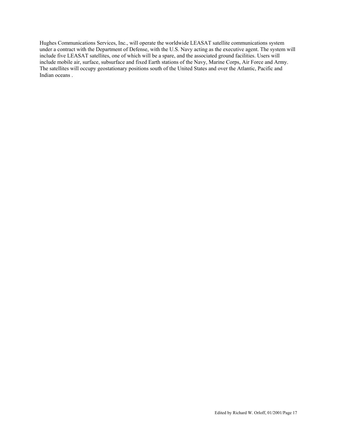Hughes Communications Services, Inc., will operate the worldwide LEASAT satellite communications system under a contract with the Department of Defense, with the U.S. Navy acting as the executive agent. The system will include five LEASAT satellites, one of which will be a spare, and the associated ground facilities. Users will include mobile air, surface, subsurface and fixed Earth stations of the Navy, Marine Corps, Air Force and Army. The satellites will occupy geostationary positions south of the United States and over the Atlantic, Pacific and Indian oceans .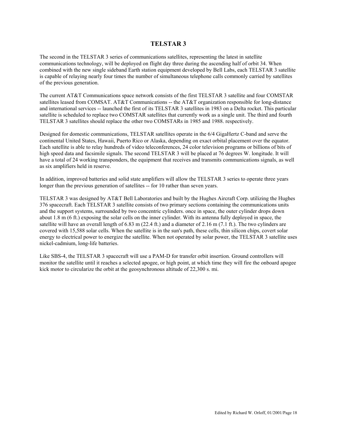## **TELSTAR 3**

The second in the TELSTAR 3 series of communications satellites, representing the latest in satellite communications technology, will be deployed on flight day three during the ascending half of orbit 34. When combined with the new single sideband Earth station equipment developed by Bell Labs, each TELSTAR 3 satellite is capable of relaying nearly four times the number of simultaneous telephone calls commonly carried by satellites of the previous generation.

The current AT&T Communications space network consists of the first TELSTAR 3 satellite and four COMSTAR satellites leased from COMSAT. AT&T Communications -- the AT&T organization responsible for long-distance and international services -- launched the first of its TELSTAR 3 satellites in 1983 on a Delta rocket. This particular satellite is scheduled to replace two COMSTAR satellites that currently work as a single unit. The third and fourth TELSTAR 3 satellites should replace the other two COMSTARs in 1985 and 1988. respectively.

Designed for domestic communications, TELSTAR satellites operate in the 6/4 GigaHertz C-band and serve the continental United States, Hawaii, Puerto Rico or Alaska, depending on exact orbital placement over the equator. Each satellite is able to relay hundreds of video teleconferences, 24 color television programs or billions of bits of high speed data and facsimile signals. The second TELSTAR 3 will be placed at 76 degrees W. longitude. It will have a total of 24 working transponders, the equipment that receives and transmits communications signals, as well as six amplifiers held in reserve.

In addition, improved batteries and solid state amplifiers will allow the TELSTAR 3 series to operate three years longer than the previous generation of satellites -- for 10 rather than seven years.

TELSTAR 3 was designed by AT&T Bell Laboratories and built by the Hughes Aircraft Corp. utilizing the Hughes 376 spacecraft. Each TELSTAR 3 satellite consists of two primary sections containing the communications units and the support systems, surrounded by two concentric cylinders. once in space, the outer cylinder drops down about 1.8 m (6 ft.) exposing the solar cells on the inner cylinder. With its antenna fully deployed in space, the satellite will have an overall length of 6.83 m (22.4 ft.) and a diameter of 2.16 m (7.1 ft.). The two cylinders are covered with 15,588 solar cells. When the satellite is in the sun's path, these cells, thin silicon chips, covert solar energy to electrical power to energize the satellite. When not operated by solar power, the TELSTAR 3 satellite uses nickel-cadmium, long-life batteries.

Like SBS-4, the TELSTAR 3 spacecraft will use a PAM-D for transfer orbit insertion. Ground controllers will monitor the satellite until it reaches a selected apogee, or high point, at which time they will fire the onboard apogee kick motor to circularize the orbit at the geosynchronous altitude of 22,300 s. mi.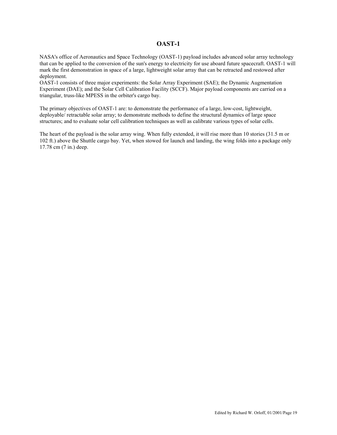## **OAST-1**

NASA's office of Aeronautics and Space Technology (OAST-1) payload includes advanced solar array technology that can be applied to the conversion of the sun's energy to electricity for use aboard future spacecraft. OAST-1 will mark the first demonstration in space of a large, lightweight solar array that can be retracted and restowed after deployment.

OAST-1 consists of three major experiments: the Solar Array Experiment (SAE); the Dynamic Augmentation Experiment (DAE); and the Solar Cell Calibration Facility (SCCF). Major payload components are carried on a triangular, truss-like MPESS in the orbiter's cargo bay.

The primary objectives of OAST-1 are: to demonstrate the performance of a large, low-cost, lightweight, deployable/ retractable solar array; to demonstrate methods to define the structural dynamics of large space structures; and to evaluate solar cell calibration techniques as well as calibrate various types of solar cells.

The heart of the payload is the solar array wing. When fully extended, it will rise more than 10 stories (31.5 m or 102 ft.) above the Shuttle cargo bay. Yet, when stowed for launch and landing, the wing folds into a package only 17.78 cm (7 in.) deep.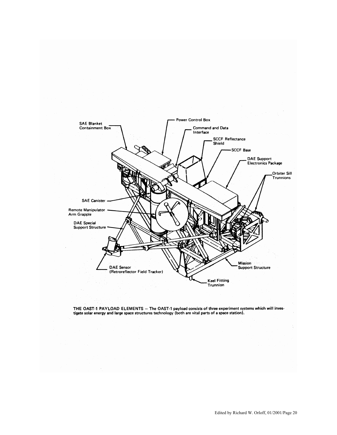

THE OAST-1 PAYLOAD ELEMENTS - The OAST-1 payload consists of three experiment systems which will inves-<br>tigate solar energy and large space structures technology (both are vital parts of a space station).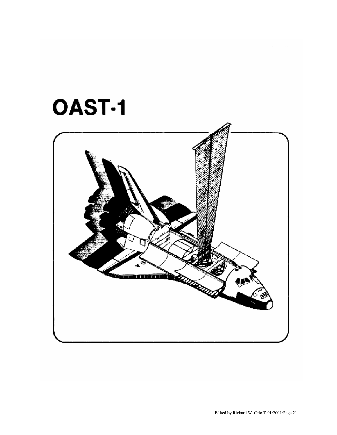# **OAST-1**

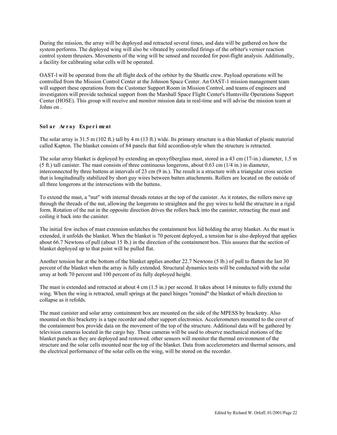During the mission, the array will be deployed and retracted several times, and data will be gathered on how the system performs. The deployed wing will also be vibrated by controlled firings of the orbiter's vernier reaction control system thrusters. Movements of the wing will be sensed and recorded for post-flight analysis. Additionally, a facility for calibrating solar cells will be operated.

OAST-l will be operated from the aft flight deck of the orbiter by the Shuttle crew. Payload operations will be controlled from the Mission Control Center at the Johnson Space Center. An OAST-1 mission management team will support these operations from the Customer Support Room in Mission Control, and teams of engineers and investigators will provide technical support from the Marshall Space Flight Center's Huntsville Operations Support Center (HOSE). This group will receive and monitor mission data in real-time and will advise the mission team at Johns on .

## Sol ar Array Experiment

The solar array is 31.5 m (102 ft.) tall by 4 m (13 ft.) wide. Its primary structure is a thin blanket of plastic material called Kapton. The blanket consists of 84 panels that fold accordion-style when the structure is retracted.

The solar array blanket is deployed by extending an epoxyfiberglass mast, stored in a 43 cm (17-in.) diameter, 1.5 m (5 ft.) tall canister. The mast consists of three continuous longerons, about 0.63 cm (1/4 in.) in diameter, interconnected by three battens at intervals of 23 cm (9 in.). The result is a structure with a triangular cross section that is longitudinally stabilized by short guy wires between batten attachments. Rollers are located on the outside of all three longerons at the intersections with the battens.

To extend the mast, a "nut" with internal threads rotates at the top of the canister. As it rotates, the rollers move up through the threads of the nut, allowing the longerons to straighten and the guy wires to hold the structure in a rigid form. Rotation of the nut in the opposite direction drives the rollers back into the canister, retracting the mast and coiling it back into the canister.

The initial few inches of mast extension unlatches the containment box lid holding the array blanket. As the mast is extended, it unfolds the blanket. When the blanket is 70 percent deployed, a tension bar is also deployed that applies about 66.7 Newtons of pull (about 15 lb.) in the direction of the containment box. This assures that the section of blanket deployed up to that point will be pulled flat.

Another tension bar at the bottom of the blanket applies another 22.7 Newtons (5 lb.) of pull to flatten the last 30 percent of the blanket when the array is fully extended. Structural dynamics tests will be conducted with the solar array at both 70 percent and 100 percent of its fully deployed height.

The mast is extended and retracted at about 4 cm (1.5 in.) per second. It takes about 14 minutes to fully extend the wing. When the wing is retracted, small springs at the panel hinges "remind" the blanket of which direction to collapse as it refolds.

The mast canister and solar array containment box are mounted on the side of the MPESS by bracketry. Also mounted on this bracketry is a tape recorder and other support electronics. Accelerometers mounted to the cover of the containment box provide data on the movement of the top of the structure. Additional data will be gathered by television cameras located in the cargo bay. These cameras will be used to observe mechanical motions of the blanket panels as they are deployed and restowed. other sensors will monitor the thermal environment of the structure and the solar cells mounted near the top of the blanket. Data from accelerometers and thermal sensors, and the electrical performance of the solar cells on the wing, will be stored on the recorder.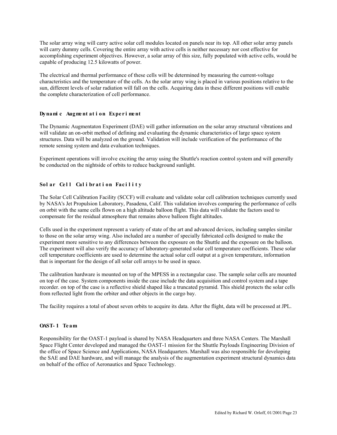The solar array wing will carry active solar cell modules located on panels near its top. All other solar array panels will carry dummy cells. Covering the entire array with active cells is neither necessary nor cost effective for accomplishing experiment objectives. However, a solar array of this size, fully populated with active cells, would be capable of producing 12.5 kilowatts of power.

The electrical and thermal performance of these cells will be determined by measuring the current-voltage characteristics and the temperature of the cells. As the solar array wing is placed in various positions relative to the sun, different levels of solar radiation will fall on the cells. Acquiring data in these different positions will enable the complete characterization of cell performance.

## **Dynamic** Augment at *i* on Experiment

The Dynamic Augmentaton Experiment (DAE) will gather information on the solar array structural vibrations and will validate an on-orbit method of defining and evaluating the dynamic characteristics of large space system structures. Data will be analyzed on the ground. Validation will include verification of the performance of the remote sensing system and data evaluation techniques.

Experiment operations will involve exciting the array using the Shuttle's reaction control system and will generally be conducted on the nightside of orbits to reduce background sunlight.

## **Solar Cell Calibration Facility**

The Solar Cell Calibration Facility (SCCF) will evaluate and validate solar cell calibration techniques currently used by NASA's Jet Propulsion Laboratory, Pasadena, Calif. This validation involves comparing the performance of cells on orbit with the same cells flown on a high altitude balloon flight. This data will validate the factors used to compensate for the residual atmosphere that remains above balloon flight altitudes.

Cells used in the experiment represent a variety of state of the art and advanced devices, including samples similar to those on the solar array wing. Also included are a number of specially fabricated cells designed to make the experiment more sensitive to any differences between the exposure on the Shuttle and the exposure on the balloon. The experiment will also verify the accuracy of laboratory-generated solar cell temperature coefficients. These solar cell temperature coefficients are used to determine the actual solar cell output at a given temperature, information that is important for the design of all solar cell arrays to be used in space.

The calibration hardware is mounted on top of the MPESS in a rectangular case. The sample solar cells are mounted on top of the case. System components inside the case include the data acquisition and control system and a tape recorder. on top of the case is a reflective shield shaped like a truncated pyramid. This shield protects the solar cells from reflected light from the orbiter and other objects in the cargo bay.

The facility requires a total of about seven orbits to acquire its data. After the flight, data will be processed at JPL.

## **OAST- 1 Te am**

Responsibility for the OAST-1 payload is shared by NASA Headquarters and three NASA Centers. The Marshall Space Flight Center developed and managed the OAST-1 mission for the Shuttle Payloads Engineering Division of the office of Space Science and Applications, NASA Headquarters. Marshall was also responsible for developing the SAE and DAE hardware, and will manage the analysis of the augmentation experiment structural dynamics data on behalf of the office of Aeronautics and Space Technology.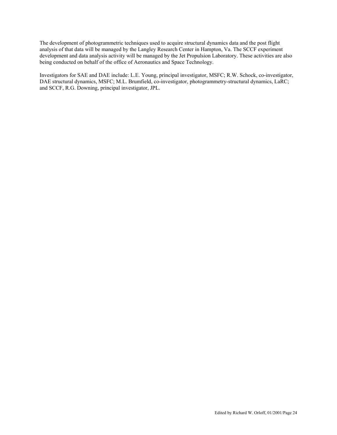The development of photogrammetric techniques used to acquire structural dynamics data and the post flight analysis of that data will be managed by the Langley Research Center in Hampton, Va. The SCCF experiment development and data analysis activity will be managed by the Jet Propulsion Laboratory. These activities are also being conducted on behalf of the office of Aeronautics and Space Technology.

Investigators for SAE and DAE include: L.E. Young, principal investigator, MSFC; R.W. Schock, co-investigator, DAE structural dynamics, MSFC; M.L. Brumfield, co-investigator, photogrammetry-structural dynamics, LaRC; and SCCF, R.G. Downing, principal investigator, JPL.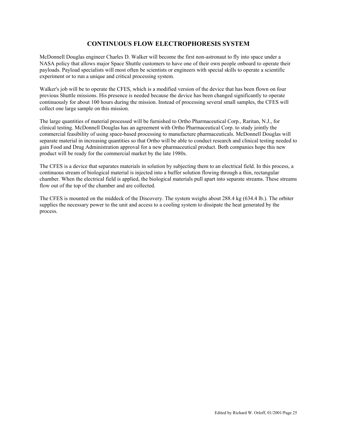## **CONTINUOUS FLOW ELECTROPHORESIS SYSTEM**

McDonnell Douglas engineer Charles D. Walker will become the first non-astronaut to fly into space under a NASA policy that allows major Space Shuttle customers to have one of their own people onboard to operate their payloads. Payload specialists will most often be scientists or engineers with special skills to operate a scientific experiment or to run a unique and critical processing system.

Walker's job will be to operate the CFES, which is a modified version of the device that has been flown on four previous Shuttle missions. His presence is needed because the device has been changed significantly to operate continuously for about 100 hours during the mission. Instead of processing several small samples, the CFES will collect one large sample on this mission.

The large quantities of material processed will be furnished to Ortho Pharmaceutical Corp., Raritan, N.J., for clinical testing. McDonnell Douglas has an agreement with Ortho Pharmaceutical Corp. to study jointly the commercial feasibility of using space-based processing to manufacture pharmaceuticals. McDonnell Douglas will separate material in increasing quantities so that Ortho will be able to conduct research and clinical testing needed to gain Food and Drug Administration approval for a new pharmaceutical product. Both companies hope this new product will be ready for the commercial market by the late 1980s.

The CFES is a device that separates materials in solution by subjecting them to an electrical field. In this process, a continuous stream of biological material is injected into a buffer solution flowing through a thin, rectangular chamber. When the electrical field is applied, the biological materials pull apart into separate streams. These streams flow out of the top of the chamber and are collected.

The CFES is mounted on the middeck of the Discovery. The system weighs about 288.4 kg (634.4 lb.). The orbiter supplies the necessary power to the unit and access to a cooling system to dissipate the heat generated by the process.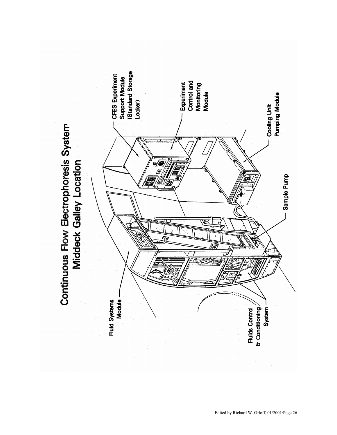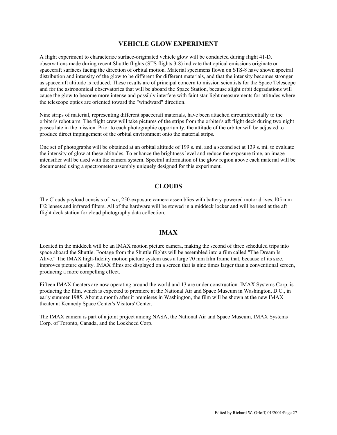## **VEHICLE GLOW EXPERIMENT**

A flight experiment to characterize surface-originated vehicle glow will be conducted during flight 41-D. observations made during recent Shuttle flights (STS flights 3-8) indicate that optical emissions originate on spacecraft surfaces facing the direction of orbital motion. Material specimens flown on STS-8 have shown spectral distribution and intensity of the glow to be different for different materials, and that the intensity becomes stronger as spacecraft altitude is reduced. These results are of principal concern to mission scientists for the Space Telescope and for the astronomical observatories that will be aboard the Space Station, because slight orbit degradations will cause the glow to become more intense and possibly interfere with faint star-light measurements for attitudes where the telescope optics are oriented toward the "windward" direction.

Nine strips of material, representing different spacecraft materials, have been attached circumferentially to the orbiter's robot arm. The flight crew will take pictures of the strips from the orbiter's aft flight deck during two night passes late in the mission. Prior to each photographic opportunity, the attitude of the orbiter will be adjusted to produce direct impingement of the orbital environment onto the material strips.

One set of photographs will be obtained at an orbital altitude of 199 s. mi. and a second set at 139 s. mi. to evaluate the intensity of glow at these altitudes. To enhance the brightness level and reduce the exposure time, an image intensifier will be used with the camera system. Spectral information of the glow region above each material will be documented using a spectrometer assembly uniquely designed for this experiment.

## **CLOUDS**

The Clouds payload consists of two, 250-exposure camera assemblies with battery-powered motor drives, l05 mm F/2 lenses and infrared filters. All of the hardware will be stowed in a middeck locker and will be used at the aft flight deck station for cloud photography data collection.

## **IMAX**

Located in the middeck will be an IMAX motion picture camera, making the second of three scheduled trips into space aboard the Shuttle. Footage from the Shuttle flights will be assembled into a film called "The Dream Is Alive." The IMAX high-fidelity motion picture system uses a large 70 mm film frame that, because of its size, improves picture quality. IMAX films are displayed on a screen that is nine times larger than a conventional screen, producing a more compelling effect.

Fifteen IMAX theaters are now operating around the world and 13 are under construction. IMAX Systems Corp. is producing the film, which is expected to premiere at the National Air and Space Museum in Washington, D.C., in early summer 1985. About a month after it premieres in Washington, the film will be shown at the new IMAX theater at Kennedy Space Center's Visitors' Center.

The IMAX camera is part of a joint project among NASA, the National Air and Space Museum, IMAX Systems Corp. of Toronto, Canada, and the Lockheed Corp.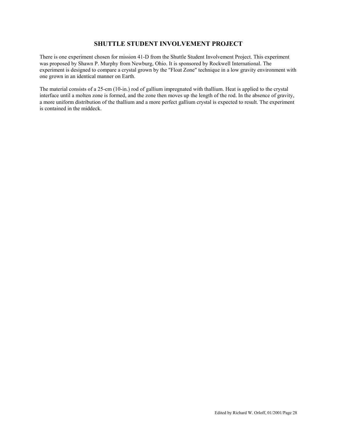## **SHUTTLE STUDENT INVOLVEMENT PROJECT**

There is one experiment chosen for mission 41-D from the Shuttle Student Involvement Project. This experiment was proposed by Shawn P. Murphy from Newburg, Ohio. It is sponsored by Rockwell International. The experiment is designed to compare a crystal grown by the "Float Zone" technique in a low gravity environment with one grown in an identical manner on Earth.

The material consists of a 25-cm (10-in.) rod of gallium impregnated with thallium. Heat is applied to the crystal interface until a molten zone is formed, and the zone then moves up the length of the rod. In the absence of gravity, a more uniform distribution of the thallium and a more perfect gallium crystal is expected to result. The experiment is contained in the middeck.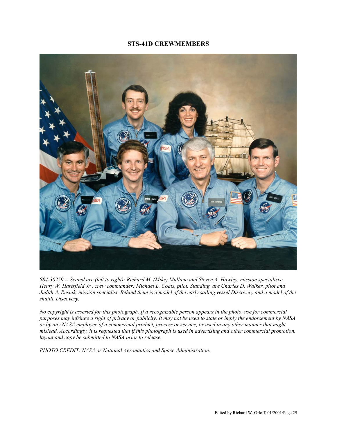## **STS-41D CREWMEMBERS**



*S84-30259 -- Seated are (left to right): Richard M. (Mike) Mullane and Steven A. Hawley, mission specialists; Henry W. Hartsfield Jr., crew commander; Michael L. Coats, pilot. Standing are Charles D. Walker, pilot and Judith A. Resnik, mission specialist. Behind them is a model of the early sailing vessel Discovery and a model of the shuttle Discovery.* 

*No copyright is asserted for this photograph. If a recognizable person appears in the photo, use for commercial purposes may infringe a right of privacy or publicity. It may not be used to state or imply the endorsement by NASA or by any NASA employee of a commercial product, process or service, or used in any other manner that might mislead. Accordingly, it is requested that if this photograph is used in advertising and other commercial promotion, layout and copy be submitted to NASA prior to release.* 

*PHOTO CREDIT: NASA or National Aeronautics and Space Administration.*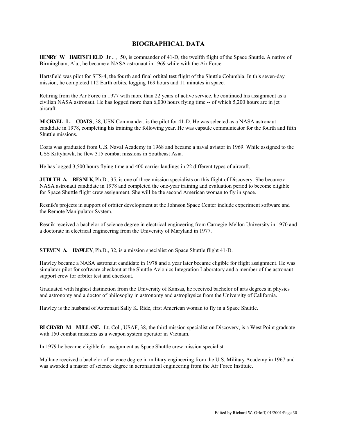## **BIOGRAPHICAL DATA**

**HENRY W. HARTSFI ELD Jr .** , 50, is commander of 41-D, the twelfth flight of the Space Shuttle. A native of Birmingham, Ala., he became a NASA astronaut in 1969 while with the Air Force.

Hartsfield was pilot for STS-4, the fourth and final orbital test flight of the Shuttle Columbia. In this seven-day mission, he completed 112 Earth orbits, logging 169 hours and 11 minutes in space.

Retiring from the Air Force in 1977 with more than 22 years of active service, he continued his assignment as a civilian NASA astronaut. He has logged more than 6,000 hours flying time -- of which 5,200 hours are in jet aircraft.

**MI CHAEL L. COATS**, 38, USN Commander, is the pilot for 41-D. He was selected as a NASA astronaut candidate in 1978, completing his training the following year. He was capsule communicator for the fourth and fifth Shuttle missions.

Coats was graduated from U.S. Naval Academy in 1968 and became a naval aviator in 1969. While assigned to the USS Kittyhawk, he flew 315 combat missions in Southeast Asia.

He has logged 3,500 hours flying time and 400 carrier landings in 22 different types of aircraft.

**JUDI TH A. RESNIK** Ph.D., 35, is one of three mission specialists on this flight of Discovery. She became a NASA astronaut candidate in 1978 and completed the one-year training and evaluation period to become eligible for Space Shuttle flight crew assignment. She will be the second American woman to fly in space.

Resnik's projects in support of orbiter development at the Johnson Space Center include experiment software and the Remote Manipulator System.

Resnik received a bachelor of science degree in electrical engineering from Carnegie-Mellon University in 1970 and a doctorate in electrical engineering from the University of Maryland in 1977.

**STEVEN A. HAWLEY**, Ph.D., 32, is a mission specialist on Space Shuttle flight 41-D.

Hawley became a NASA astronaut candidate in 1978 and a year later became eligible for flight assignment. He was simulator pilot for software checkout at the Shuttle Avionics Integration Laboratory and a member of the astronaut support crew for orbiter test and checkout.

Graduated with highest distinction from the University of Kansas, he received bachelor of arts degrees in physics and astronomy and a doctor of philosophy in astronomy and astrophysics from the University of California.

Hawley is the husband of Astronaut Sally K. Ride, first American woman to fly in a Space Shuttle.

**RI CHARD M. MULLANE,** Lt. Col., USAF, 38, the third mission specialist on Discovery, is a West Point graduate with 150 combat missions as a weapon system operator in Vietnam.

In 1979 he became eligible for assignment as Space Shuttle crew mission specialist.

Mullane received a bachelor of science degree in military engineering from the U.S. Military Academy in 1967 and was awarded a master of science degree in aeronautical engineering from the Air Force Institute.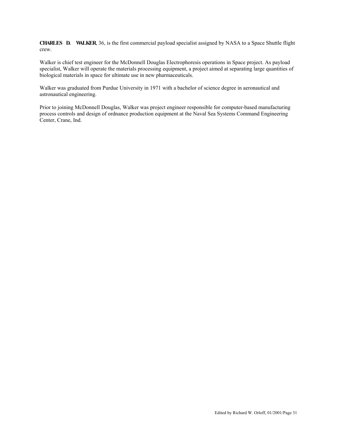**CHARLES D. WALKER**, 36, is the first commercial payload specialist assigned by NASA to a Space Shuttle flight crew.

Walker is chief test engineer for the McDonnell Douglas Electrophoresis operations in Space project. As payload specialist, Walker will operate the materials processing equipment, a project aimed at separating large quantities of biological materials in space for ultimate use in new pharmaceuticals.

Walker was graduated from Purdue University in 1971 with a bachelor of science degree in aeronautical and astronautical engineering.

Prior to joining McDonnell Douglas, Walker was project engineer responsible for computer-based manufacturing process controls and design of ordnance production equipment at the Naval Sea Systems Command Engineering Center, Crane, Ind.